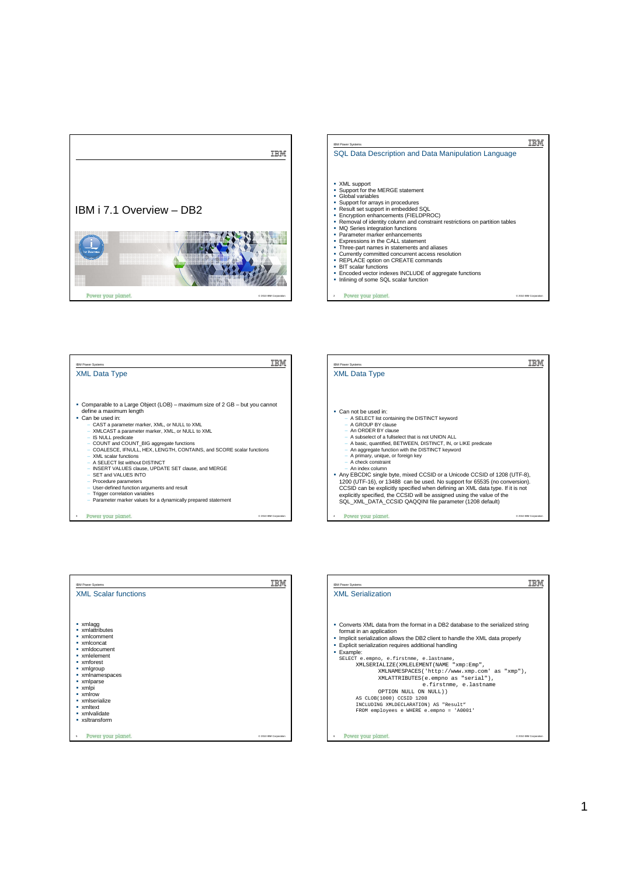







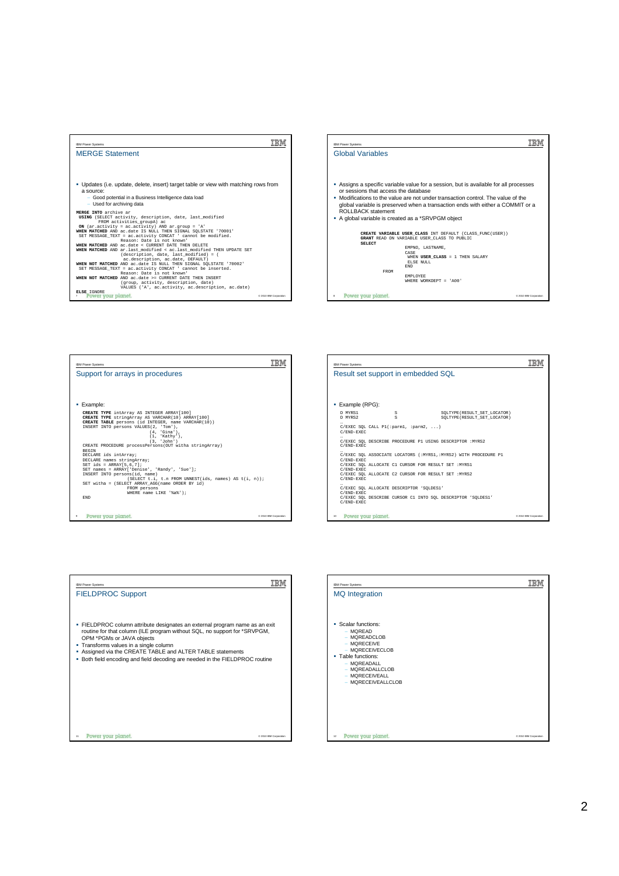









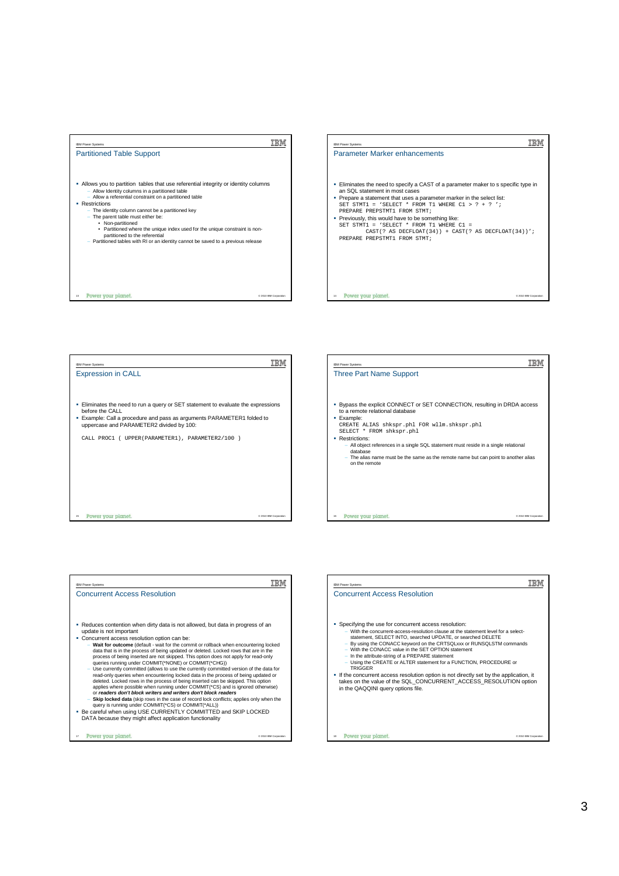





| <b>IBM Power Systems</b>                                                                                                                                                                                                                                                                                                                                                                                                                                                                                                                                                                                                                                                                                                                                                                                                                                                                                                                                                                                                                     |                        |
|----------------------------------------------------------------------------------------------------------------------------------------------------------------------------------------------------------------------------------------------------------------------------------------------------------------------------------------------------------------------------------------------------------------------------------------------------------------------------------------------------------------------------------------------------------------------------------------------------------------------------------------------------------------------------------------------------------------------------------------------------------------------------------------------------------------------------------------------------------------------------------------------------------------------------------------------------------------------------------------------------------------------------------------------|------------------------|
| <b>Concurrent Access Resolution</b>                                                                                                                                                                                                                                                                                                                                                                                                                                                                                                                                                                                                                                                                                                                                                                                                                                                                                                                                                                                                          |                        |
|                                                                                                                                                                                                                                                                                                                                                                                                                                                                                                                                                                                                                                                                                                                                                                                                                                                                                                                                                                                                                                              |                        |
| . Reduces contention when dirty data is not allowed, but data in progress of an<br>update is not important                                                                                                                                                                                                                                                                                                                                                                                                                                                                                                                                                                                                                                                                                                                                                                                                                                                                                                                                   |                        |
| • Concurrent access resolution option can be:                                                                                                                                                                                                                                                                                                                                                                                                                                                                                                                                                                                                                                                                                                                                                                                                                                                                                                                                                                                                |                        |
| - Wait for outcome (default - wait for the commit or rollback when encountering locked<br>data that is in the process of being updated or deleted. Locked rows that are in the<br>process of being inserted are not skipped. This option does not apply for read-only<br>queries running under COMMIT(*NONE) or COMMIT(*CHG))<br>- Use currently committed (allows to use the currently committed version of the data for<br>read-only queries when encountering locked data in the process of being updated or<br>deleted. Locked rows in the process of being inserted can be skipped. This option<br>applies where possible when running under COMMIT(*CS) and is ignored otherwise)<br>or readers don't block writers and writers don't block readers<br>- Skip locked data (skip rows in the case of record lock conflicts; applies only when the<br>query is running under COMMIT(*CS) or COMMIT(*ALL))<br>. Be careful when using USE CURRENTLY COMMITTED and SKIP LOCKED<br>DATA because they might affect application functionality |                        |
| Power your planet.<br>17                                                                                                                                                                                                                                                                                                                                                                                                                                                                                                                                                                                                                                                                                                                                                                                                                                                                                                                                                                                                                     | C 2010 IBM Corporation |

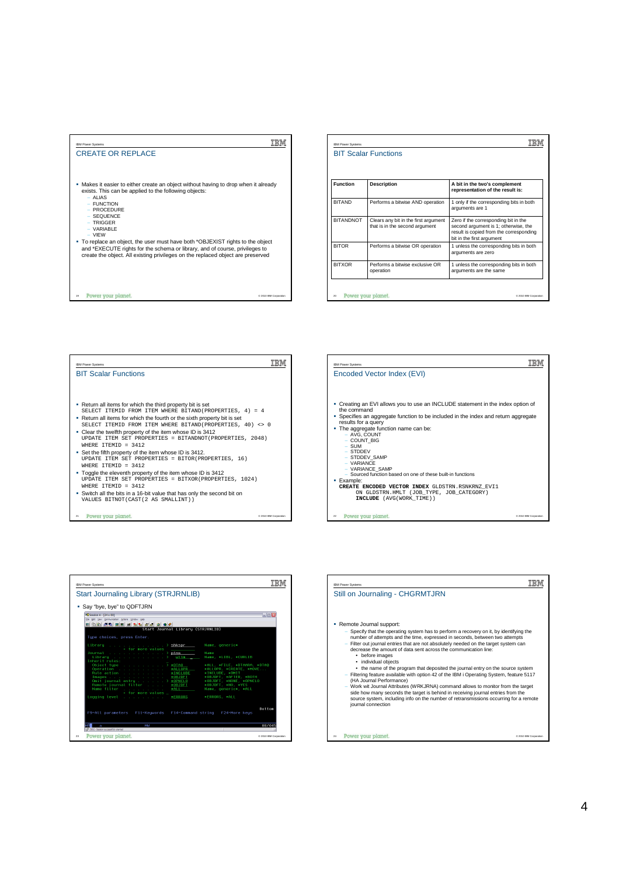

|                  | <b>BIT Scalar Functions</b>                                            |                                                                                                                                                      |
|------------------|------------------------------------------------------------------------|------------------------------------------------------------------------------------------------------------------------------------------------------|
| <b>Function</b>  | <b>Description</b>                                                     | A bit in the two's complement<br>representation of the result is:                                                                                    |
| <b>BITAND</b>    | Performs a bitwise AND operation                                       | 1 only if the corresponding bits in both<br>arguments are 1                                                                                          |
| <b>BITANDNOT</b> | Clears any bit in the first argument<br>that is in the second argument | Zero if the corresponding bit in the<br>second argument is 1; otherwise, the<br>result is copied from the corresponding<br>bit in the first argument |
| <b>BITOR</b>     | Performs a bitwise OR operation                                        | 1 unless the corresponding bits in both<br>arguments are zero                                                                                        |
| <b>BITXOR</b>    | Performs a bitwise exclusive OR<br>operation                           | 1 unless the corresponding bits in both<br>arguments are the same                                                                                    |





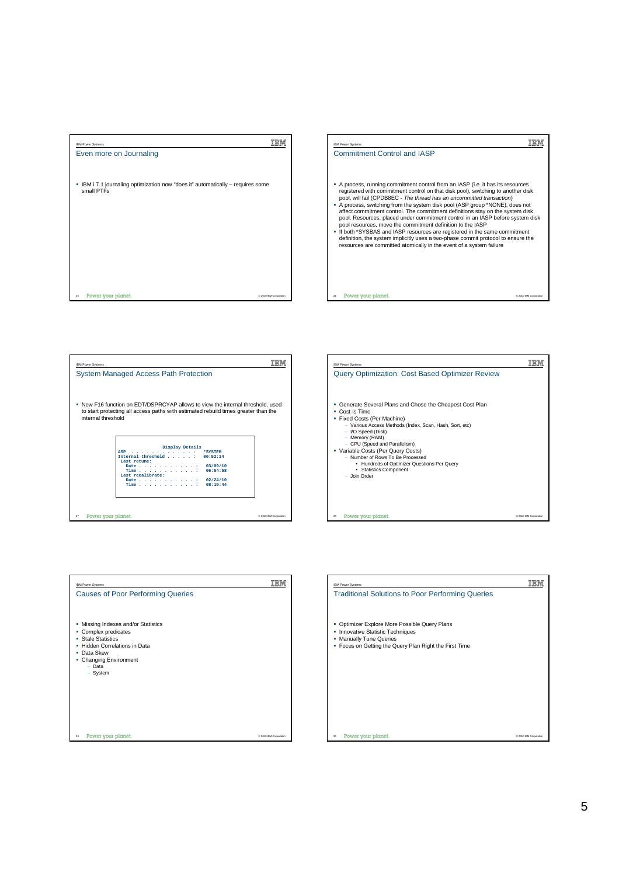







| <b>IBM Power Systems</b>                                                                                                                                                             |                        |
|--------------------------------------------------------------------------------------------------------------------------------------------------------------------------------------|------------------------|
| <b>Causes of Poor Performing Queries</b>                                                                                                                                             |                        |
| Missing Indexes and/or Statistics<br>٠<br>• Complex predicates<br>• Stale Statistics<br>• Hidden Correlations in Data<br>• Data Skew<br>• Changing Environment<br>- Data<br>- System |                        |
| Power your planet.<br>29                                                                                                                                                             | C 2010 IBM Corporation |

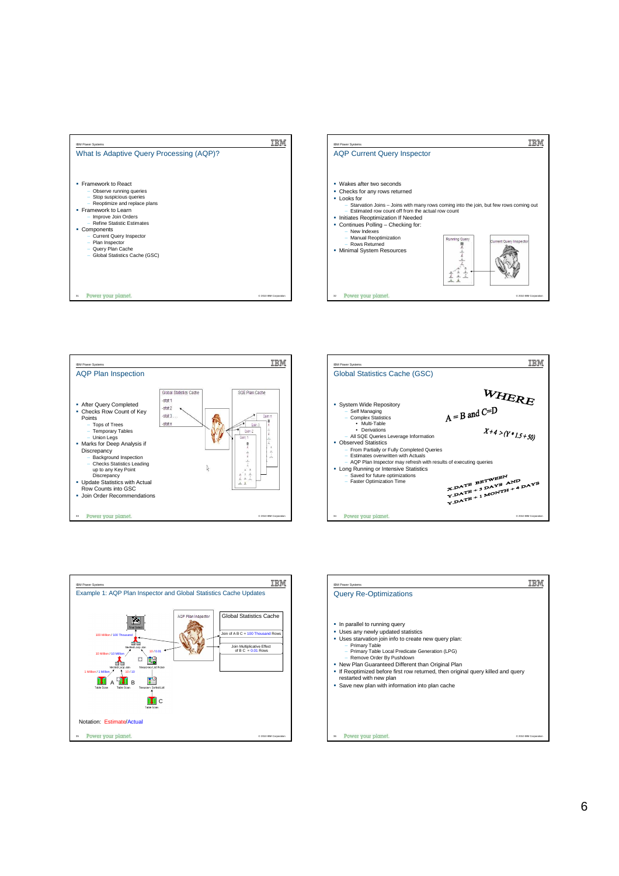









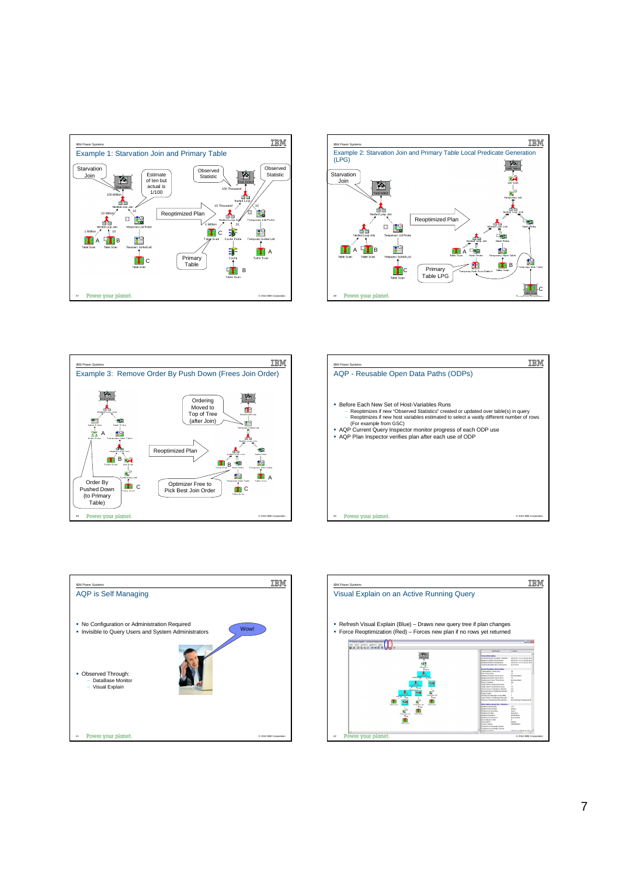